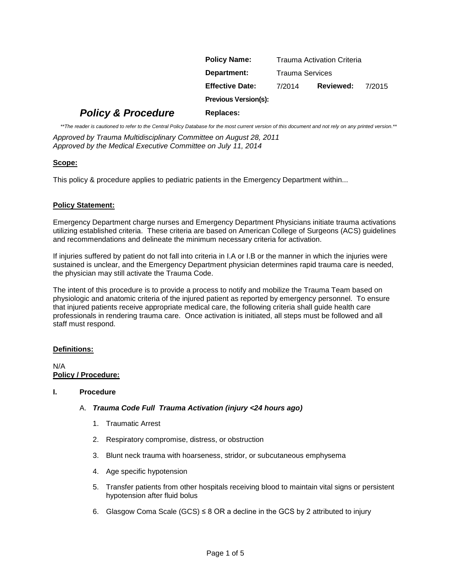| <b>Policy Name:</b>         | Trauma Activation Criteria |           |        |
|-----------------------------|----------------------------|-----------|--------|
| Department:                 | Trauma Services            |           |        |
| <b>Effective Date:</b>      | 7/2014                     | Reviewed: | 7/2015 |
| <b>Previous Version(s):</b> |                            |           |        |

# *Policy & Procedure* Replaces:

*\*\*The reader is cautioned to refer to the Central Policy Database for the most current version of this document and not rely on any printed version.\*\**

*Approved by Trauma Multidisciplinary Committee on August 28, 2011 Approved by the Medical Executive Committee on July 11, 2014*

# **Scope:**

This policy & procedure applies to pediatric patients in the Emergency Department within...

# **Policy Statement:**

Emergency Department charge nurses and Emergency Department Physicians initiate trauma activations utilizing established criteria. These criteria are based on American College of Surgeons (ACS) guidelines and recommendations and delineate the minimum necessary criteria for activation.

If injuries suffered by patient do not fall into criteria in I.A or I.B or the manner in which the injuries were sustained is unclear, and the Emergency Department physician determines rapid trauma care is needed, the physician may still activate the Trauma Code.

The intent of this procedure is to provide a process to notify and mobilize the Trauma Team based on physiologic and anatomic criteria of the injured patient as reported by emergency personnel. To ensure that injured patients receive appropriate medical care, the following criteria shall guide health care professionals in rendering trauma care. Once activation is initiated, all steps must be followed and all staff must respond.

# **Definitions:**

N/A **Policy / Procedure:**

#### **I. Procedure**

# A. *Trauma Code Full Trauma Activation (injury <24 hours ago)*

- 1. Traumatic Arrest
- 2. Respiratory compromise, distress, or obstruction
- 3. Blunt neck trauma with hoarseness, stridor, or subcutaneous emphysema
- 4. Age specific hypotension
- 5. Transfer patients from other hospitals receiving blood to maintain vital signs or persistent hypotension after fluid bolus
- 6. Glasgow Coma Scale (GCS)  $\leq$  8 OR a decline in the GCS by 2 attributed to injury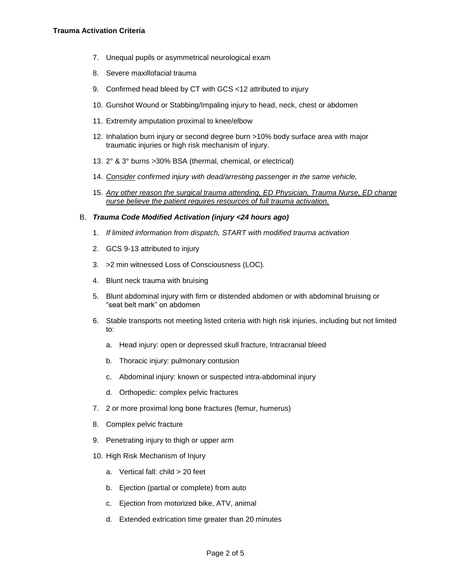- 7. Unequal pupils or asymmetrical neurological exam
- 8. Severe maxillofacial trauma
- 9. Confirmed head bleed by CT with GCS <12 attributed to injury
- 10. Gunshot Wound or Stabbing/Impaling injury to head, neck, chest or abdomen
- 11. Extremity amputation proximal to knee/elbow
- 12. Inhalation burn injury or second degree burn >10% body surface area with major traumatic injuries or high risk mechanism of injury.
- 13. 2° & 3° burns >30% BSA (thermal, chemical, or electrical)
- 14. *Consider confirmed injury with dead/arresting passenger in the same vehicle,*
- 15. *Any other reason the surgical trauma attending, ED Physician, Trauma Nurse, ED charge nurse believe the patient requires resources of full trauma activation.*

#### B. *Trauma Code Modified Activation (injury <24 hours ago)*

- 1. *If limited information from dispatch, START with modified trauma activation*
- 2. GCS 9-13 attributed to injury
- 3. >2 min witnessed Loss of Consciousness (LOC)*.*
- 4. Blunt neck trauma with bruising
- 5. Blunt abdominal injury with firm or distended abdomen or with abdominal bruising or "seat belt mark" on abdomen
- 6. Stable transports not meeting listed criteria with high risk injuries, including but not limited to:
	- a. Head injury: open or depressed skull fracture, Intracranial bleed
	- b. Thoracic injury: pulmonary contusion
	- c. Abdominal injury: known or suspected intra-abdominal injury
	- d. Orthopedic: complex pelvic fractures
- 7. 2 or more proximal long bone fractures (femur, humerus)
- 8. Complex pelvic fracture
- 9. Penetrating injury to thigh or upper arm
- 10. High Risk Mechanism of Injury
	- a. Vertical fall: child > 20 feet
	- b. Ejection (partial or complete) from auto
	- c. Ejection from motorized bike, ATV, animal
	- d. Extended extrication time greater than 20 minutes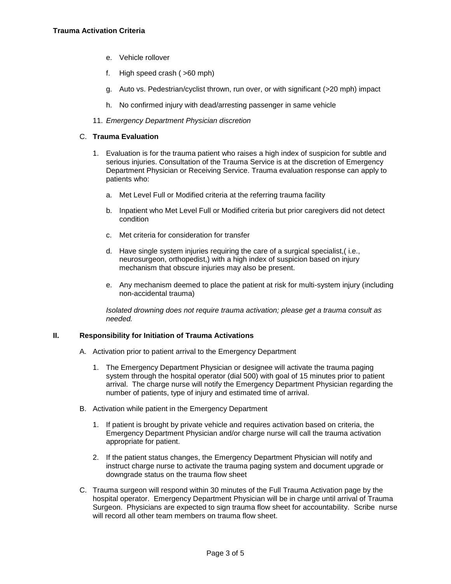- e. Vehicle rollover
- f. High speed crash ( >60 mph)
- g. Auto vs. Pedestrian/cyclist thrown, run over, or with significant (>20 mph) impact
- h. No confirmed injury with dead/arresting passenger in same vehicle
- 11. *Emergency Department Physician discretion*

### C. **Trauma Evaluation**

- 1. Evaluation is for the trauma patient who raises a high index of suspicion for subtle and serious injuries. Consultation of the Trauma Service is at the discretion of Emergency Department Physician or Receiving Service. Trauma evaluation response can apply to patients who:
	- a. Met Level Full or Modified criteria at the referring trauma facility
	- b. Inpatient who Met Level Full or Modified criteria but prior caregivers did not detect condition
	- c. Met criteria for consideration for transfer
	- d. Have single system injuries requiring the care of a surgical specialist,( i.e., neurosurgeon, orthopedist,) with a high index of suspicion based on injury mechanism that obscure injuries may also be present.
	- e. Any mechanism deemed to place the patient at risk for multi-system injury (including non-accidental trauma)

*Isolated drowning does not require trauma activation; please get a trauma consult as needed.*

#### **II. Responsibility for Initiation of Trauma Activations**

- A. Activation prior to patient arrival to the Emergency Department
	- 1. The Emergency Department Physician or designee will activate the trauma paging system through the hospital operator (dial 500) with goal of 15 minutes prior to patient arrival. The charge nurse will notify the Emergency Department Physician regarding the number of patients, type of injury and estimated time of arrival.
- B. Activation while patient in the Emergency Department
	- 1. If patient is brought by private vehicle and requires activation based on criteria, the Emergency Department Physician and/or charge nurse will call the trauma activation appropriate for patient.
	- 2. If the patient status changes, the Emergency Department Physician will notify and instruct charge nurse to activate the trauma paging system and document upgrade or downgrade status on the trauma flow sheet
- C. Trauma surgeon will respond within 30 minutes of the Full Trauma Activation page by the hospital operator. Emergency Department Physician will be in charge until arrival of Trauma Surgeon. Physicians are expected to sign trauma flow sheet for accountability. Scribe nurse will record all other team members on trauma flow sheet.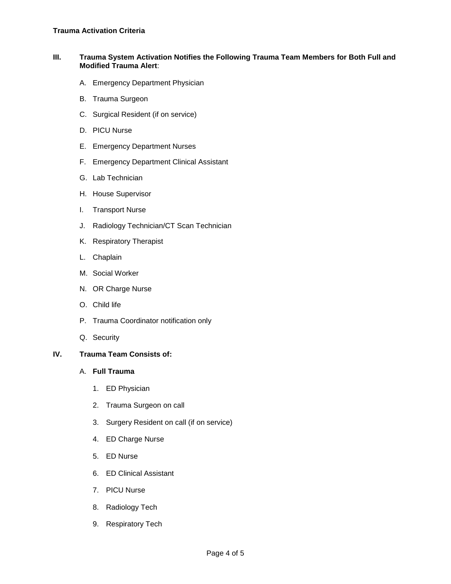#### **III. Trauma System Activation Notifies the Following Trauma Team Members for Both Full and Modified Trauma Alert**:

- A. Emergency Department Physician
- B. Trauma Surgeon
- C. Surgical Resident (if on service)
- D. PICU Nurse
- E. Emergency Department Nurses
- F. Emergency Department Clinical Assistant
- G. Lab Technician
- H. House Supervisor
- I. Transport Nurse
- J. Radiology Technician/CT Scan Technician
- K. Respiratory Therapist
- L. Chaplain
- M. Social Worker
- N. OR Charge Nurse
- O. Child life
- P. Trauma Coordinator notification only
- Q. Security

# **IV. Trauma Team Consists of:**

#### A. **Full Trauma**

- 1. ED Physician
- 2. Trauma Surgeon on call
- 3. Surgery Resident on call (if on service)
- 4. ED Charge Nurse
- 5. ED Nurse
- 6. ED Clinical Assistant
- 7. PICU Nurse
- 8. Radiology Tech
- 9. Respiratory Tech